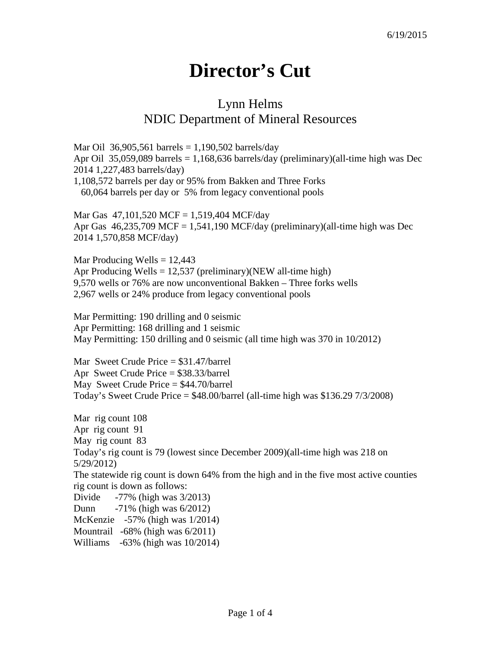## **Director's Cut**

## Lynn Helms NDIC Department of Mineral Resources

Mar Oil 36,905,561 barrels =  $1,190,502$  barrels/day Apr Oil 35,059,089 barrels = 1,168,636 barrels/day (preliminary)(all-time high was Dec 2014 1,227,483 barrels/day) 1,108,572 barrels per day or 95% from Bakken and Three Forks 60,064 barrels per day or 5% from legacy conventional pools

Mar Gas 47,101,520 MCF = 1,519,404 MCF/day Apr Gas  $46,235,709$  MCF = 1,541,190 MCF/day (preliminary)(all-time high was Dec 2014 1,570,858 MCF/day)

Mar Producing Wells  $= 12,443$ Apr Producing Wells  $= 12,537$  (preliminary)(NEW all-time high) 9,570 wells or 76% are now unconventional Bakken – Three forks wells 2,967 wells or 24% produce from legacy conventional pools

Mar Permitting: 190 drilling and 0 seismic Apr Permitting: 168 drilling and 1 seismic May Permitting: 150 drilling and 0 seismic (all time high was 370 in 10/2012)

Mar Sweet Crude Price = \$31.47/barrel Apr Sweet Crude Price = \$38.33/barrel May Sweet Crude Price  $= $44.70/b$ arrel Today's Sweet Crude Price = \$48.00/barrel (all-time high was \$136.29 7/3/2008)

Mar rig count 108 Apr rig count 91 May rig count 83 Today's rig count is 79 (lowest since December 2009)(all-time high was 218 on 5/29/2012) The statewide rig count is down 64% from the high and in the five most active counties rig count is down as follows: Divide -77% (high was 3/2013) Dunn -71% (high was 6/2012) McKenzie -57% (high was 1/2014) Mountrail -68% (high was 6/2011) Williams -63% (high was 10/2014)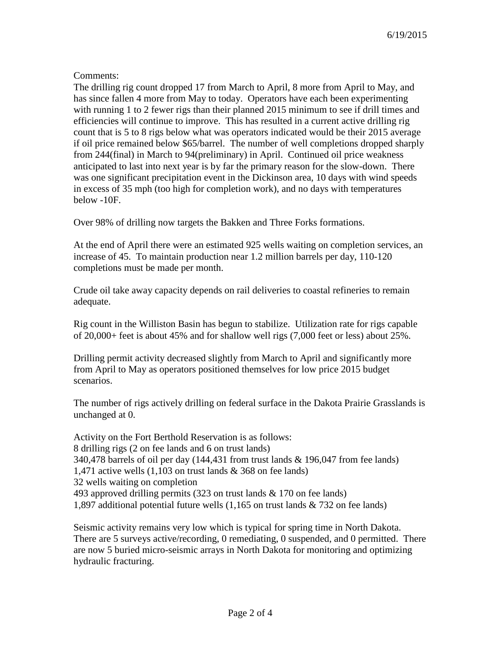## Comments:

The drilling rig count dropped 17 from March to April, 8 more from April to May, and has since fallen 4 more from May to today. Operators have each been experimenting with running 1 to 2 fewer rigs than their planned 2015 minimum to see if drill times and efficiencies will continue to improve. This has resulted in a current active drilling rig count that is 5 to 8 rigs below what was operators indicated would be their 2015 average if oil price remained below \$65/barrel. The number of well completions dropped sharply from 244(final) in March to 94(preliminary) in April. Continued oil price weakness anticipated to last into next year is by far the primary reason for the slow-down. There was one significant precipitation event in the Dickinson area, 10 days with wind speeds in excess of 35 mph (too high for completion work), and no days with temperatures below -10F.

Over 98% of drilling now targets the Bakken and Three Forks formations.

At the end of April there were an estimated 925 wells waiting on completion services, an increase of 45. To maintain production near 1.2 million barrels per day, 110-120 completions must be made per month.

Crude oil take away capacity depends on rail deliveries to coastal refineries to remain adequate.

Rig count in the Williston Basin has begun to stabilize. Utilization rate for rigs capable of 20,000+ feet is about 45% and for shallow well rigs (7,000 feet or less) about 25%.

Drilling permit activity decreased slightly from March to April and significantly more from April to May as operators positioned themselves for low price 2015 budget scenarios.

The number of rigs actively drilling on federal surface in the Dakota Prairie Grasslands is unchanged at 0.

Activity on the Fort Berthold Reservation is as follows: 8 drilling rigs (2 on fee lands and 6 on trust lands) 340,478 barrels of oil per day (144,431 from trust lands & 196,047 from fee lands) 1,471 active wells (1,103 on trust lands & 368 on fee lands) 32 wells waiting on completion 493 approved drilling permits (323 on trust lands & 170 on fee lands) 1,897 additional potential future wells (1,165 on trust lands & 732 on fee lands)

Seismic activity remains very low which is typical for spring time in North Dakota. There are 5 surveys active/recording, 0 remediating, 0 suspended, and 0 permitted. There are now 5 buried micro-seismic arrays in North Dakota for monitoring and optimizing hydraulic fracturing.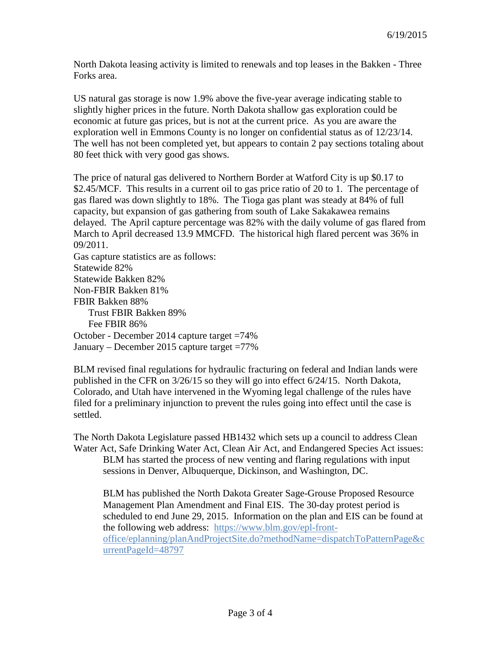North Dakota leasing activity is limited to renewals and top leases in the Bakken - Three Forks area.

US natural gas storage is now 1.9% above the five-year average indicating stable to slightly higher prices in the future. North Dakota shallow gas exploration could be economic at future gas prices, but is not at the current price. As you are aware the exploration well in Emmons County is no longer on confidential status as of 12/23/14. The well has not been completed yet, but appears to contain 2 pay sections totaling about 80 feet thick with very good gas shows.

The price of natural gas delivered to Northern Border at Watford City is up \$0.17 to \$2.45/MCF. This results in a current oil to gas price ratio of 20 to 1. The percentage of gas flared was down slightly to 18%. The Tioga gas plant was steady at 84% of full capacity, but expansion of gas gathering from south of Lake Sakakawea remains delayed. The April capture percentage was 82% with the daily volume of gas flared from March to April decreased 13.9 MMCFD. The historical high flared percent was 36% in 09/2011.

Gas capture statistics are as follows: Statewide 82% Statewide Bakken 82% Non-FBIR Bakken 81% FBIR Bakken 88% Trust FBIR Bakken 89% Fee FBIR 86% October - December 2014 capture target =74% January – December 2015 capture target  $=77\%$ 

BLM revised final regulations for hydraulic fracturing on federal and Indian lands were published in the CFR on 3/26/15 so they will go into effect 6/24/15. North Dakota, Colorado, and Utah have intervened in the Wyoming legal challenge of the rules have filed for a preliminary injunction to prevent the rules going into effect until the case is settled.

The North Dakota Legislature passed HB1432 which sets up a council to address Clean Water Act, Safe Drinking Water Act, Clean Air Act, and Endangered Species Act issues: BLM has started the process of new venting and flaring regulations with input sessions in Denver, Albuquerque, Dickinson, and Washington, DC.

BLM has published the North Dakota Greater Sage-Grouse Proposed Resource Management Plan Amendment and Final EIS. The 30-day protest period is scheduled to end June 29, 2015. Information on the plan and EIS can be found at the following web address: [https://www.blm.gov/epl-front](https://www.blm.gov/epl-front-office/eplanning/planAndProjectSite.do?methodName=dispatchToPatternPage¤tPageId=48797)[office/eplanning/planAndProjectSite.do?methodName=dispatchToPatternPage&c](https://www.blm.gov/epl-front-office/eplanning/planAndProjectSite.do?methodName=dispatchToPatternPage¤tPageId=48797) [urrentPageId=48797](https://www.blm.gov/epl-front-office/eplanning/planAndProjectSite.do?methodName=dispatchToPatternPage¤tPageId=48797)